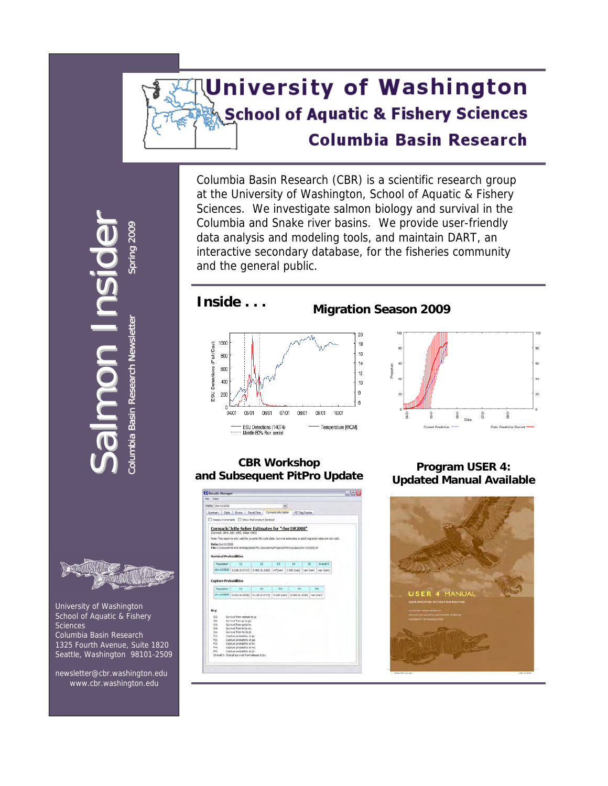# **University of Washington School of Aquatic & Fishery Sciences Columbia Basin Research**

Columbia Basin Research (CBR) is a scientific research group at the University of Washington, School of Aquatic & Fishery Sciences. We investigate salmon biology and survival in the Columbia and Snake river basins. We provide user-friendly data analysis and modeling tools, and maintain DART, an interactive secondary database, for the fisheries community and the general public.



**Inside . . . Migration Season 2009** 



#### **CBR Workshop and Subsequent PitPro Update Program USER 4:**



**Updated Manual Available** 





Co

lumbia

lumbia Basi

Bas ni

Research

Sal

 $\equiv$ 

m

 University of Washington School of Aquatic & Fishery **Sciences**  Columbia Basin Research 1325 Fourth Avenue, Suite 1820 Seattle, Washington 98101-2509

 newsletter@cbr.washington.edu [www.cbr.washington.edu](http://www.cbr.washington.edu/)

**D International Properties** nsi **d** ider Newsletter Spring Spring 2009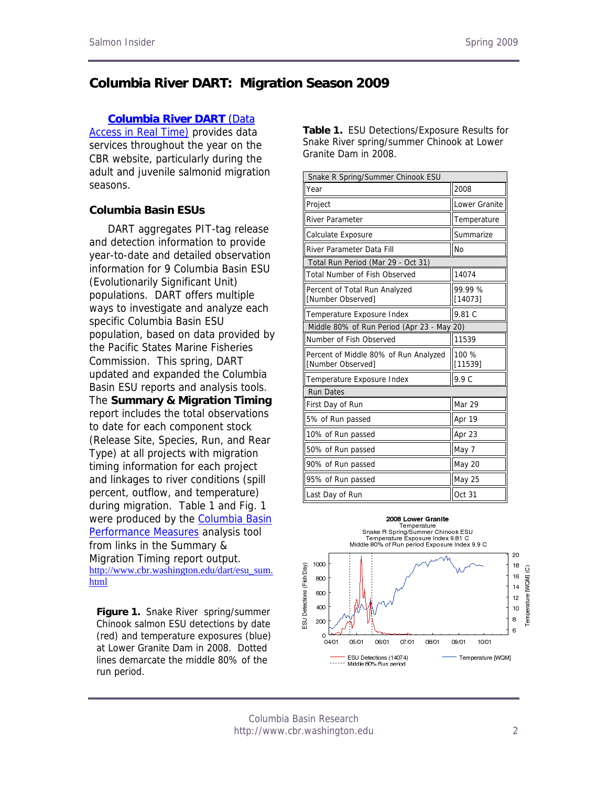# **Columbia River DART: Migration Season 2009**

#### **[Columbia River DART](http://www.cbr.washington.edu/dart/dart.html)** (Data

[Access in Real Time\)](http://www.cbr.washington.edu/dart/dart.html) provides data services throughout the year on the CBR website, particularly during the adult and juvenile salmonid migration seasons.

#### Project Lower Granite **Columbia Basin ESUs**

DART aggregates PIT-tag release and detection information to provide year-to-date and detailed observation information for 9 Columbia Basin ESU (Evolutionarily Significant Unit) populations. DART offers multiple ways to investigate and analyze each specific Columbia Basin ESU population, based on data provided by the Pacific States Marine Fisheries Commission. This spring, DART updated and expanded the Columbia Basin ESU reports and analysis tools. The **Summary & Migration Timing** report includes the total observations to date for each component stock (Release Site, Species, Run, and Rear Type) at all projects with migration timing information for each project and linkages to river conditions (spill percent, outflow, and temperature) during migration. Table 1 and Fig. 1 were produced by the **Columbia Basin** [Performance Measures](http://www.cbr.washington.edu/perform) analysis tool from links in the Summary & Migration Timing report output. [http://www.cbr.washington.edu/dart/esu\\_sum.](http://www.cbr.washington.edu/dart/esu_sum.html) [html](http://www.cbr.washington.edu/dart/esu_sum.html)

**Figure 1.** Snake River spring/summer Chinook salmon ESU detections by date (red) and temperature exposures (blue) at Lower Granite Dam in 2008. Dotted lines demarcate the middle 80% of the run period.

**Table 1.** ESU Detections/Exposure Results for Snake River spring/summer Chinook at Lower Granite Dam in 2008.

| Snake R Spring/Summer Chinook ESU                          |                    |  |  |  |  |  |
|------------------------------------------------------------|--------------------|--|--|--|--|--|
| Year                                                       | 2008               |  |  |  |  |  |
| Project                                                    | Lower Granite      |  |  |  |  |  |
| <b>River Parameter</b>                                     | Temperature        |  |  |  |  |  |
| Calculate Exposure                                         | Summarize          |  |  |  |  |  |
| River Parameter Data Fill                                  | <b>No</b>          |  |  |  |  |  |
| Total Run Period (Mar 29 - Oct 31)                         |                    |  |  |  |  |  |
| <b>Total Number of Fish Observed</b>                       | 14074              |  |  |  |  |  |
| Percent of Total Run Analyzed<br>[Number Observed]         | 99.99 %<br>[14073] |  |  |  |  |  |
| Temperature Exposure Index                                 | 9.81 C             |  |  |  |  |  |
| Middle 80% of Run Period (Apr 23 - May 20)                 |                    |  |  |  |  |  |
| Number of Fish Observed                                    | 11539              |  |  |  |  |  |
| Percent of Middle 80% of Run Analyzed<br>[Number Observed] | 100 %<br>[11539]   |  |  |  |  |  |
| Temperature Exposure Index                                 | 9.9 C              |  |  |  |  |  |
| <b>Run Dates</b>                                           |                    |  |  |  |  |  |
| First Day of Run                                           | Mar 29             |  |  |  |  |  |
| 5% of Run passed                                           | Apr 19             |  |  |  |  |  |
| 10% of Run passed                                          | Apr 23             |  |  |  |  |  |
| 50% of Run passed                                          | May 7              |  |  |  |  |  |
| 90% of Run passed                                          | May 20             |  |  |  |  |  |
| 95% of Run passed                                          | May 25             |  |  |  |  |  |
| Last Day of Run                                            | Oct 31             |  |  |  |  |  |



Columbia Basin Research http://www.cbr.washington.edu 2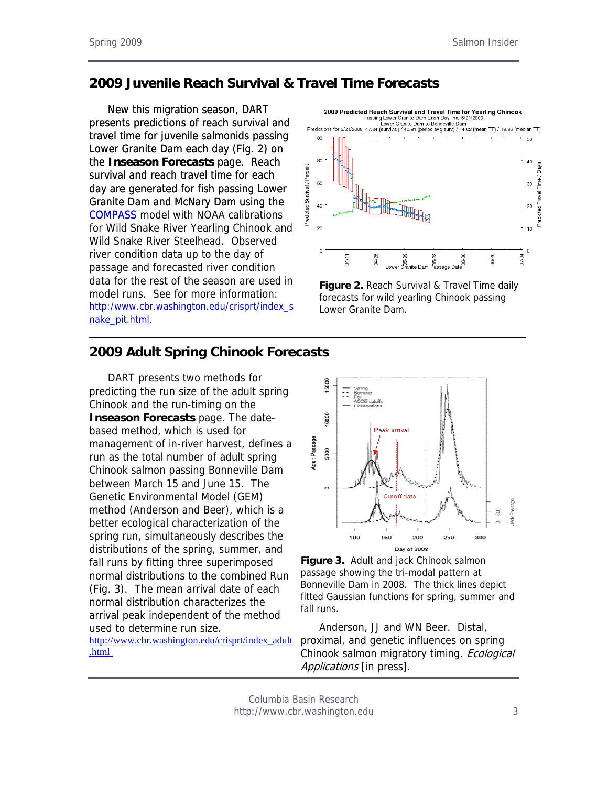# **2009 Juvenile Reach Survival & Travel Time Forecasts**

[New this migration season, DART](http://www.cbr.washington.edu/compass/)  [presents predictions of reach survival and](http://www.cbr.washington.edu/compass/)  [travel time for juvenile salmonids passing](http://www.cbr.washington.edu/compass/)  [Lower Granite Dam each day \(Fig. 2\) on](http://www.cbr.washington.edu/compass/)  the **[Inseason Forecasts](http://www.cbr.washington.edu/compass/)** page. Reach [survival and reach travel time for each](http://www.cbr.washington.edu/compass/)  [day are generated for fish passing Lower](http://www.cbr.washington.edu/compass/)  [Granite Dam and McNary Dam using the](http://www.cbr.washington.edu/compass/)  COMPASS [COMPASS](http://www.cbr.washington.edu/compass/) model with NOAA calibrations for Wild Snake River Yearling Chinook and Wild Snake River Steelhead. Observed river condition data up to the day of passage and forecasted river condition data for the rest of the season are used in model runs. See for more information: http:/www.cbr.washington.edu/crisprt/index\_s nake\_pit.html[.](http://www.cbr.washington.edu/crisprt/index_snake_pit.html)



**Figure 2.** Reach Survival & Travel Time daily forecasts for wild yearling Chinook passing Lower Granite Dam.

#### **2009 Adult Spring Chinook Forecasts**

DART presents two methods for predicting the run size of the adult spring Chinook and the run-timing on the **Inseason Forecasts** page. The datebased method, which is used for management of in-river harvest, defines a run as the total number of adult spring Chinook salmon passing Bonneville Dam between March 15 and June 15. The Genetic Environmental Model (GEM) method (Anderson and Beer), which is a better ecological characterization of the spring run, simultaneously describes the distributions of the spring, summer, and fall runs by fitting three superimposed normal distributions to the combined Run (Fig. 3). The mean arrival date of each normal distribution characterizes the arrival peak independent of the method used to determine run size.

[http://www.cbr.washington.edu/crisprt/index\\_adult](http://www.cbr.washington.edu/crisprt/index_adult.html) [.html](http://www.cbr.washington.edu/crisprt/index_adult.html) 



**Figure 3.** Adult and jack Chinook salmon passage showing the tri-modal pattern at Bonneville Dam in 2008. The thick lines depict fitted Gaussian functions for spring, summer and fall runs.

Anderson, JJ and WN Beer. Distal, proximal, and genetic influences on spring Chinook salmon migratory timing. Ecological Applications [in press].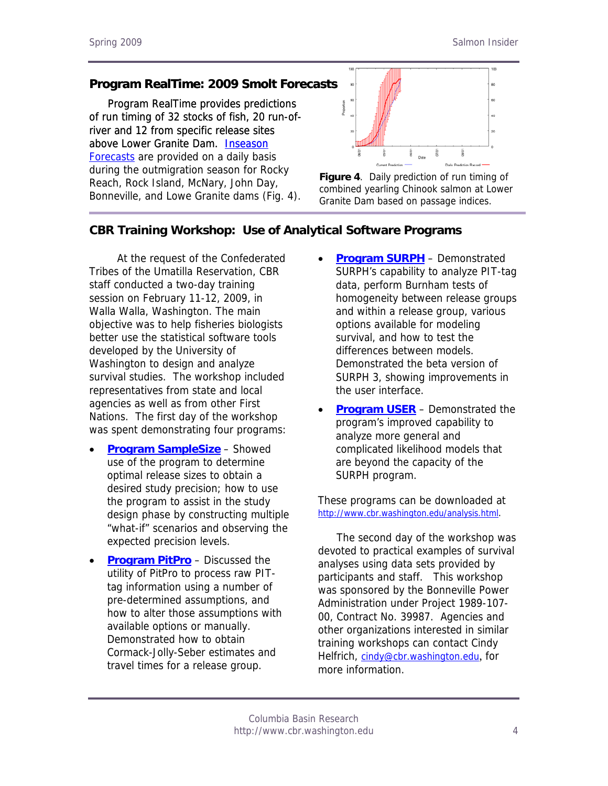# **Program RealTime: 2009 Smolt Forecasts**

[Program RealTime provides predictions](http://www.cbr.washington.edu/crisprt/)  [of run timing of 32 stocks of fish, 20 run-of](http://www.cbr.washington.edu/crisprt/)[river and 12 from specific release sites](http://www.cbr.washington.edu/crisprt/)  [above Lower Granite Dam. Inseason](http://www.cbr.washington.edu/crisprt/)  [Forecasts](http://www.cbr.washington.edu/crisprt/) are provided on a daily basis during the outmigration season for Rocky Reach, Rock Island, McNary, John Day, Bonneville, and Lowe Granite dams (Fig. 4).



**Figure 4**. Daily prediction of run timing of combined yearling Chinook salmon at Lower Granite Dam based on passage indices.

# **CBR Training Workshop: Use of Analytical Software Programs**

 At the request of the Confederated Tribes of the Umatilla Reservation, CBR staff conducted a two-day training session on February 11-12, 2009, in Walla Walla, Washington. The main objective was to help fisheries biologists better use the statistical software tools developed by the University of Washington to design and analyze survival studies. The workshop included representatives from state and local agencies as well as from other First Nations. The first day of the workshop was spent demonstrating four programs:

- **[Program SampleSize](http://www.cbr.washington.edu/paramest/samplesize/)** Showed use of the program to determine optimal release sizes to obtain a desired study precision; how to use the program to assist in the study design phase by constructing multiple "what-if" scenarios and observing the expected precision levels.
- **[Program PitPro](http://www.cbr.washington.edu/paramest/pitpro/)** Discussed the utility of PitPro to process raw PITtag information using a number of pre-determined assumptions, and how to alter those assumptions with available options or manually. Demonstrated how to obtain Cormack-Jolly-Seber estimates and travel times for a release group.
- **[Program SURPH](http://www.cbr.washington.edu/paramest/surph/)** Demonstrated SURPH's capability to analyze PIT-tag data, perform Burnham tests of homogeneity between release groups and within a release group, various options available for modeling survival, and how to test the differences between models. Demonstrated the beta version of SURPH 3, showing improvements in the user interface.
- **[Program USER](http://www.cbr.washington.edu/paramest/user/)** Demonstrated the program's improved capability to analyze more general and complicated likelihood models that are beyond the capacity of the SURPH program.

These programs can be downloaded at <http://www.cbr.washington.edu/analysis.html>.

The second day of the workshop was devoted to practical examples of survival analyses using data sets provided by participants and staff. This workshop was sponsored by the Bonneville Power Administration under Project 1989-107- 00, Contract No. 39987. Agencies and other organizations interested in similar training workshops can contact Cindy Helfrich, [cindy@cbr.washington.edu](mailto:cindy@cbr.washington.edu), for more information.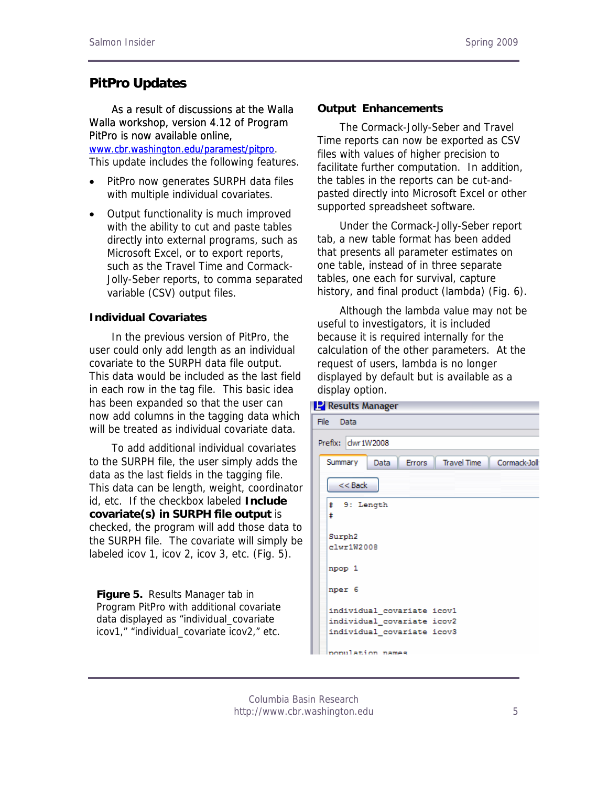# **PitPro Updates**

 [As a result of discussions at the Walla](http://www.cbr.washington.edu/paramest/pitpro) **Output Enhancements**  [Walla workshop, version 4.12 of Program](http://www.cbr.washington.edu/paramest/pitpro)  [PitPro is now available online,](http://www.cbr.washington.edu/paramest/pitpro)  [www.cbr.washington.edu/paramest/pitpro](http://www.cbr.washington.edu/paramest/pitpro).

This update includes the following features.

- PitPro now generates SURPH data files with multiple individual covariates.
- Output functionality is much improved with the ability to cut and paste tables directly into external programs, such as Microsoft Excel, or to export reports, such as the Travel Time and Cormack-Jolly-Seber reports, to comma separated variable (CSV) output files.

#### **Individual Covariates**

 In the previous version of PitPro, the user could only add length as an individual covariate to the SURPH data file output. This data would be included as the last field in each row in the tag file. This basic idea has been expanded so that the user can now add columns in the tagging data which will be treated as individual covariate data.

 To add additional individual covariates to the SURPH file, the user simply adds the data as the last fields in the tagging file. This data can be length, weight, coordinator id, etc. If the checkbox labeled **Include covariate(s) in SURPH file output** is checked, the program will add those data to the SURPH file. The covariate will simply be labeled icov 1, icov 2, icov 3, etc. (Fig. 5).

**Figure 5.** Results Manager tab in Program PitPro with additional covariate data displayed as "individual\_covariate icov1," "individual\_covariate icov2," etc.

 The Cormack-Jolly-Seber and Travel Time reports can now be exported as CSV files with values of higher precision to facilitate further computation. In addition, the tables in the reports can be cut-andpasted directly into Microsoft Excel or other supported spreadsheet software.

 Under the Cormack-Jolly-Seber report tab, a new table format has been added that presents all parameter estimates on one table, instead of in three separate tables, one each for survival, capture history, and final product (lambda) (Fig. 6).

 Although the lambda value may not be useful to investigators, it is included because it is required internally for the calculation of the other parameters. At the request of users, lambda is no longer displayed by default but is available as a display option.

|        | <b>P</b> Results Manager                                                |
|--------|-------------------------------------------------------------------------|
| File - | Data                                                                    |
|        | Prefix: clwr1W2008                                                      |
|        | Summary<br><b>Travel Time</b><br>Cormack-Joll:<br>Data<br><b>Errors</b> |
|        | $<<$ Back                                                               |
|        | # 9: Length<br>ŧ                                                        |
|        | Surph2<br>clwr1W2008                                                    |
|        | npop 1                                                                  |
|        | nper 6                                                                  |
|        | individual covariate icov1                                              |
|        | individual covariate icov2                                              |
|        | individual covariate icov3                                              |
|        | nonulation names                                                        |

Columbia Basin Research http://www.cbr.washington.edu 5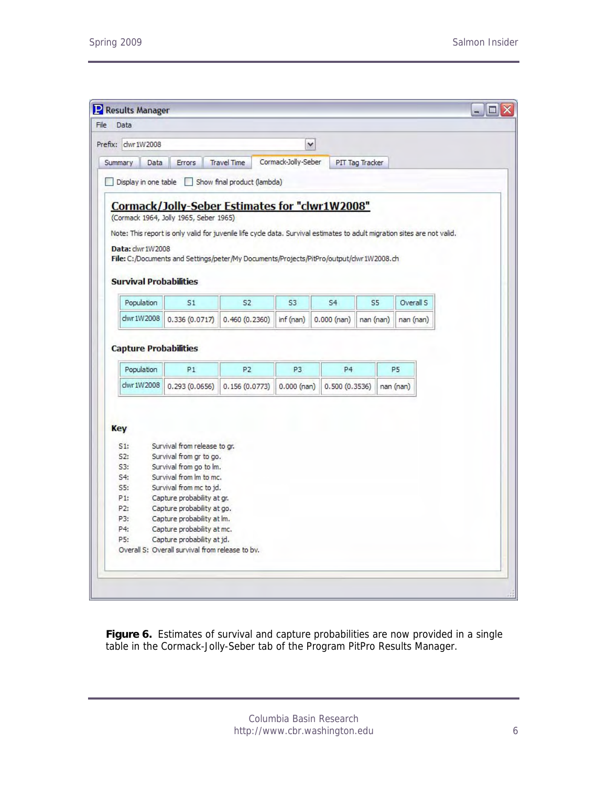J

| dwr1W2008<br>Prefix:          |                                        |                                                                                         | v                   |                |                 |                                                                                                                          |
|-------------------------------|----------------------------------------|-----------------------------------------------------------------------------------------|---------------------|----------------|-----------------|--------------------------------------------------------------------------------------------------------------------------|
| Summary<br>Data               | Errors                                 | <b>Travel Time</b>                                                                      | Cormack-Jolly-Seber |                | PIT Tag Tracker |                                                                                                                          |
| Display in one table          |                                        | Show final product (lambda)                                                             |                     |                |                 |                                                                                                                          |
|                               |                                        |                                                                                         |                     |                |                 |                                                                                                                          |
|                               |                                        | Cormack/Jolly-Seber Estimates for "clwr1W2008"                                          |                     |                |                 |                                                                                                                          |
|                               | (Cormack 1964, Jolly 1965, Seber 1965) |                                                                                         |                     |                |                 |                                                                                                                          |
|                               |                                        |                                                                                         |                     |                |                 | Note: This report is only valid for juvenile life cycle data. Survival estimates to adult migration sites are not valid. |
| Data: clwr 1W2008             |                                        |                                                                                         |                     |                |                 |                                                                                                                          |
|                               |                                        | File: C:/Documents and Settings/peter/My Documents/Projects/PitPro/output/clwr1W2008.ch |                     |                |                 |                                                                                                                          |
|                               |                                        |                                                                                         |                     |                |                 |                                                                                                                          |
| <b>Survival Probabilities</b> |                                        |                                                                                         |                     |                |                 |                                                                                                                          |
|                               |                                        |                                                                                         |                     |                |                 |                                                                                                                          |
| Population                    | S1                                     | S <sub>2</sub>                                                                          | S <sub>3</sub>      | S4             | S5              | Overall S                                                                                                                |
| clwr 1W2008                   | 0.336(0.0717)                          | 0.460(0.2360)                                                                           | inf (nan)           | $0.000$ (nan)  | nan (nan)       | nan (nan)                                                                                                                |
|                               |                                        |                                                                                         |                     |                |                 |                                                                                                                          |
| Population                    | P1                                     | P <sub>2</sub>                                                                          | P <sub>3</sub>      | P <sub>4</sub> |                 | P <sub>5</sub>                                                                                                           |
| clwr 1W2008                   | 0.293(0.0656)                          | 0.156(0.0773)                                                                           | $0.000$ (nan)       | 0.500(0.3536)  |                 | nan (nan)                                                                                                                |
|                               |                                        |                                                                                         |                     |                |                 |                                                                                                                          |
|                               |                                        |                                                                                         |                     |                |                 |                                                                                                                          |
| Key                           |                                        |                                                                                         |                     |                |                 |                                                                                                                          |
|                               |                                        |                                                                                         |                     |                |                 |                                                                                                                          |
|                               | Survival from release to gr.           |                                                                                         |                     |                |                 |                                                                                                                          |
| S1:                           |                                        |                                                                                         |                     |                |                 |                                                                                                                          |
| S2:                           | Survival from gr to go.                |                                                                                         |                     |                |                 |                                                                                                                          |
| S3:                           | Survival from go to lm.                |                                                                                         |                     |                |                 |                                                                                                                          |
| S4:                           | Survival from Im to mc.                |                                                                                         |                     |                |                 |                                                                                                                          |
| S5:                           | Survival from mc to jd.                |                                                                                         |                     |                |                 |                                                                                                                          |
| P1:                           | Capture probability at gr.             |                                                                                         |                     |                |                 |                                                                                                                          |
| P2:                           | Capture probability at go.             |                                                                                         |                     |                |                 |                                                                                                                          |
| P3:                           | Capture probability at lm.             |                                                                                         |                     |                |                 |                                                                                                                          |
| P4:                           | Capture probability at mc.             |                                                                                         |                     |                |                 |                                                                                                                          |
| P5:                           | Capture probability at jd.             |                                                                                         |                     |                |                 |                                                                                                                          |

Figure 6. Estimates of survival and capture probabilities are now provided in a single table in the Cormack-Jolly-Seber tab of the Program PitPro Results Manager.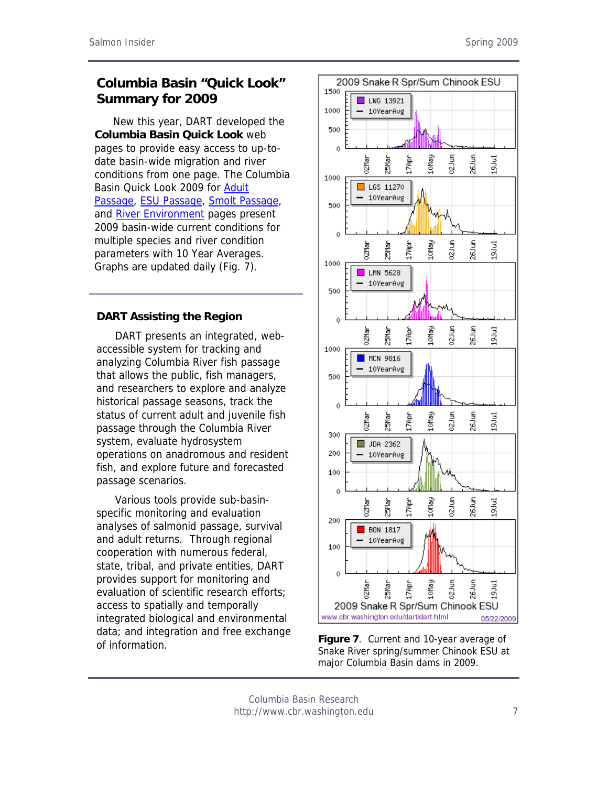# **Columbia Basin "Quick Look" Summary for 2009**

New this year, DART developed the **Columbia Basin Quick Look** web pages to provide easy access to up-todate basin-wide migration and river conditions from one page. The Columbia Basin Quick Look 2009 for [Adult](http://www.cbr.washington.edu/dart/adultpass_all.html)  [Passage,](http://www.cbr.washington.edu/dart/adultpass_all.html) [ESU Passage,](http://www.cbr.washington.edu/dart/esu_all.html) [Smolt Passage,](http://www.cbr.washington.edu/dart/pass_all.html) and [River Environment](http://www.cbr.washington.edu/dart/river_all.html) pages present 2009 basin-wide current conditions for multiple species and river condition parameters with 10 Year Averages. Graphs are updated daily (Fig. 7).

#### **DART Assisting the Region**

DART presents an integrated, webaccessible system for tracking and analyzing Columbia River fish passage that allows the public, fish managers, and researchers to explore and analyze historical passage seasons, track the status of current adult and juvenile fish passage through the Columbia River system, evaluate hydrosystem operations on anadromous and resident fish, and explore future and forecasted passage scenarios.

Various tools provide sub-basinspecific monitoring and evaluation analyses of salmonid passage, survival and adult returns. Through regional cooperation with numerous federal, state, tribal, and private entities, DART provides support for monitoring and evaluation of scientific research efforts; access to spatially and temporally integrated biological and environmental data; and integration and free exchange of information. **Figure 7**. Current and 10-year average of



Snake River spring/summer Chinook ESU at major Columbia Basin dams in 2009.